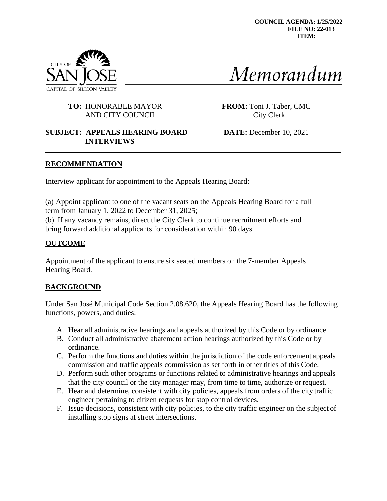**COUNCIL AGENDA: 1/25/2022 FILE NO: 22-013 ITEM:**



# Memorandum

## **TO:** HONORABLE MAYOR **FROM:** Toni J. Taber, CMC AND CITY COUNCIL City Clerk

## **SUBJECT: APPEALS HEARING BOARD DATE:** December 10, 2021 **INTERVIEWS**

## **RECOMMENDATION**

Interview applicant for appointment to the Appeals Hearing Board:

(a) Appoint applicant to one of the vacant seats on the Appeals Hearing Board for a full term from January 1, 2022 to December 31, 2025;

(b) If any vacancy remains, direct the City Clerk to continue recruitment efforts and bring forward additional applicants for consideration within 90 days.

## **OUTCOME**

Appointment of the applicant to ensure six seated members on the 7-member Appeals Hearing Board.

# **BACKGROUND**

Under San José Municipal Code Section 2.08.620, the Appeals Hearing Board has the following functions, powers, and duties:

- A. Hear all administrative hearings and appeals authorized by this Code or by ordinance.
- B. Conduct all administrative abatement action hearings authorized by this Code or by ordinance.
- C. Perform the functions and duties within the jurisdiction of the code enforcement appeals commission and traffic appeals commission as set forth in other titles of this Code.
- D. Perform such other programs or functions related to administrative hearings and appeals that the city council or the city manager may, from time to time, authorize or request.
- E. Hear and determine, consistent with city policies, appeals from orders of the city traffic engineer pertaining to citizen requests for stop control devices.
- F. Issue decisions, consistent with city policies, to the city traffic engineer on the subject of installing stop signs at street intersections.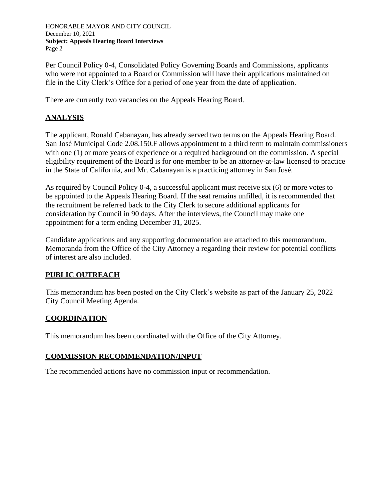HONORABLE MAYOR AND CITY COUNCIL December 10, 2021 **Subject: Appeals Hearing Board Interviews** Page 2

Per Council Policy 0-4, Consolidated Policy Governing Boards and Commissions, applicants who were not appointed to a Board or Commission will have their applications maintained on file in the City Clerk's Office for a period of one year from the date of application.

There are currently two vacancies on the Appeals Hearing Board.

## **ANALYSIS**

The applicant, Ronald Cabanayan, has already served two terms on the Appeals Hearing Board. San José Municipal Code 2.08.150.F allows appointment to a third term to maintain commissioners with one (1) or more years of experience or a required background on the commission. A special eligibility requirement of the Board is for one member to be an attorney-at-law licensed to practice in the State of California, and Mr. Cabanayan is a practicing attorney in San José.

As required by Council Policy 0-4, a successful applicant must receive six (6) or more votes to be appointed to the Appeals Hearing Board. If the seat remains unfilled, it is recommended that the recruitment be referred back to the City Clerk to secure additional applicants for consideration by Council in 90 days. After the interviews, the Council may make one appointment for a term ending December 31, 2025.

Candidate applications and any supporting documentation are attached to this memorandum. Memoranda from the Office of the City Attorney a regarding their review for potential conflicts of interest are also included.

## **PUBLIC OUTREACH**

This memorandum has been posted on the City Clerk's website as part of the January 25, 2022 City Council Meeting Agenda.

## **COORDINATION**

This memorandum has been coordinated with the Office of the City Attorney.

## **COMMISSION RECOMMENDATION/INPUT**

The recommended actions have no commission input or recommendation.